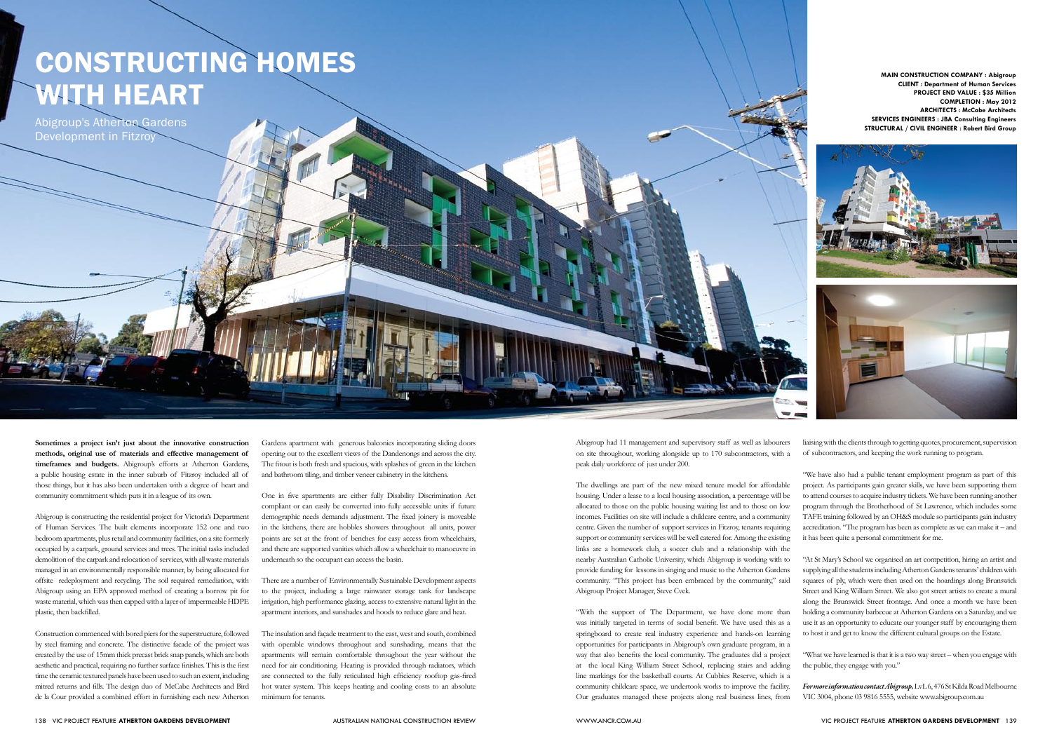## Constructing homes with heart

**Sometimes a project isn't just about the innovative construction methods, original use of materials and effective management of timeframes and budgets.** Abigroup's efforts at Atherton Gardens, a public housing estate in the inner suburb of Fitzroy included all of those things, but it has also been undertaken with a degree of heart and community commitment which puts it in a league of its own.

Abigroup is constructing the residential project for Victoria's Department of Human Services. The built elements incorporate 152 one and two bedroom apartments, plus retail and community facilities, on a site formerly occupied by a carpark, ground services and trees. The initial tasks included demolition of the carpark and relocation of services, with all waste materials managed in an environmentally responsible manner, by being allocated for offsite redeployment and recycling. The soil required remediation, with Abigroup using an EPA approved method of creating a borrow pit for waste material, which was then capped with a layer of impermeable HDPE plastic, then backfilled.

Construction commenced with bored piers for the superstructure, followed by steel framing and concrete. The distinctive facade of the project was created by the use of 15mm thick precast brick snap panels, which are both aesthetic and practical, requiring no further surface finishes. This is the first time the ceramic textured panels have been used to such an extent, including mitred returns and fills. The design duo of McCabe Architects and Bird de la Cour provided a combined effort in furnishing each new Atherton

The insulation and façade treatment to the east, west and south, combined with operable windows throughout and sunshading, means that the apartments will remain comfortable throughout the year without the need for air conditioning. Heating is provided through radiators, which are connected to the fully reticulated high efficiency rooftop gas-fired hot water system. This keeps heating and cooling costs to an absolute minimum for tenants.

Abigroup's Atherton Gardens Development in Fitzroy

**Main Construction Company : Abigroup Client : Department of Human Services Project end Value : \$35 Million Completion : May 2012 Architects : McCabe Architects Services Engineers : JBA Consulting Engineers Structural / Civil Engineer : Robert Bird Group**





Gardens apartment with generous balconies incorporating sliding doors opening out to the excellent views of the Dandenongs and across the city. The fitout is both fresh and spacious, with splashes of green in the kitchen and bathroom tiling, and timber veneer cabinetry in the kitchens.

One in five apartments are either fully Disability Discrimination Act compliant or can easily be converted into fully accessible units if future demographic needs demands adjustment. The fixed joinery is moveable in the kitchens, there are hobbles showers throughout all units, power points are set at the front of benches for easy access from wheelchairs, and there are supported vanities which allow a wheelchair to manoeuvre in underneath so the occupant can access the basin.

There are a number of Environmentally Sustainable Development aspects to the project, including a large rainwater storage tank for landscape irrigation, high performance glazing, access to extensive natural light in the apartment interiors, and sunshades and hoods to reduce glare and heat.

Abigroup had 11 management and supervisory staff as well as labourers on site throughout, working alongside up to 170 subcontractors, with a peak daily workforce of just under 200.

The dwellings are part of the new mixed tenure model for affordable housing. Under a lease to a local housing association, a percentage will be allocated to those on the public housing waiting list and to those on low incomes. Facilities on site will include a childcare centre, and a community centre. Given the number of support services in Fitzroy, tenants requiring support or community services will be well catered for. Among the existing links are a homework club, a soccer club and a relationship with the nearby Australian Catholic University, which Abigroup is working with to provide funding for lessons in singing and music to the Atherton Gardens community. "This project has been embraced by the community," said Abigroup Project Manager, Steve Cvek.

"With the support of The Department, we have done more than was initially targeted in terms of social benefit. We have used this as a springboard to create real industry experience and hands-on learning opportunities for participants in Abigroup's own graduate program, in a way that also benefits the local community. The graduates did a project at the local King William Street School, replacing stairs and adding line markings for the basketball courts. At Cubbies Reserve, which is a community childcare space, we undertook works to improve the facility. Our graduates managed these projects along real business lines, from

liaising with the clients through to getting quotes, procurement, supervision of subcontractors, and keeping the work running to program.

"We have also had a public tenant employment program as part of this project. As participants gain greater skills, we have been supporting them to attend courses to acquire industry tickets. We have been running another program through the Brotherhood of St Lawrence, which includes some TAFE training followed by an OH&S module so participants gain industry accreditation. "The program has been as complete as we can make it – and it has been quite a personal commitment for me.

"At St Mary's School we organised an art competition, hiring an artist and supplying all the students including Atherton Gardens tenants' children with squares of ply, which were then used on the hoardings along Brunswick Street and King William Street. We also got street artists to create a mural along the Brunswick Street frontage. And once a month we have been holding a community barbecue at Atherton Gardens on a Saturday, and we use it as an opportunity to educate our younger staff by encouraging them to host it and get to know the different cultural groups on the Estate.

"What we have learned is that it is a two way street – when you engage with the public, they engage with you."

*For more information contact Abigroup,* LvL 6, 476 St Kilda Road Melbourne VIC 3004, phone 03 9816 5555, website www.abigroup.com.au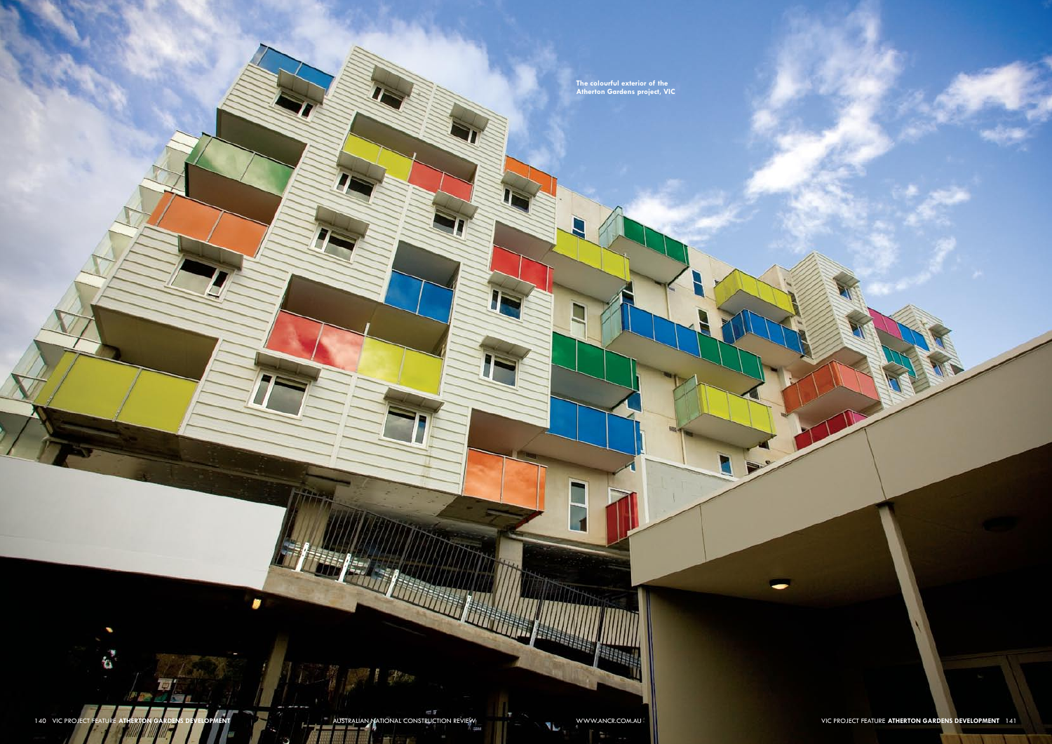**The colourful exterior of the Atherton Gardens project, VIC**

JF

 $\overline{\phantom{0}}$ 

Ħ

**REGISTER** 

NET AND THE STRATURE ATHERTON GARDENS DEVELOPMENT AUSTRALIAN NATIONAL CONSTRUCTION REVIEW WWW.ANCR.COM.AU VIC PROJECT FEATURE ATHERTON GARDENS DEVELOPMENT 141

 $\sqrt{2}$ 

٧

 $\alpha^*$ 

**Table** 

 $\mathbf{r}$ 

E

Ħ

Link

**THE REAL** 

IF